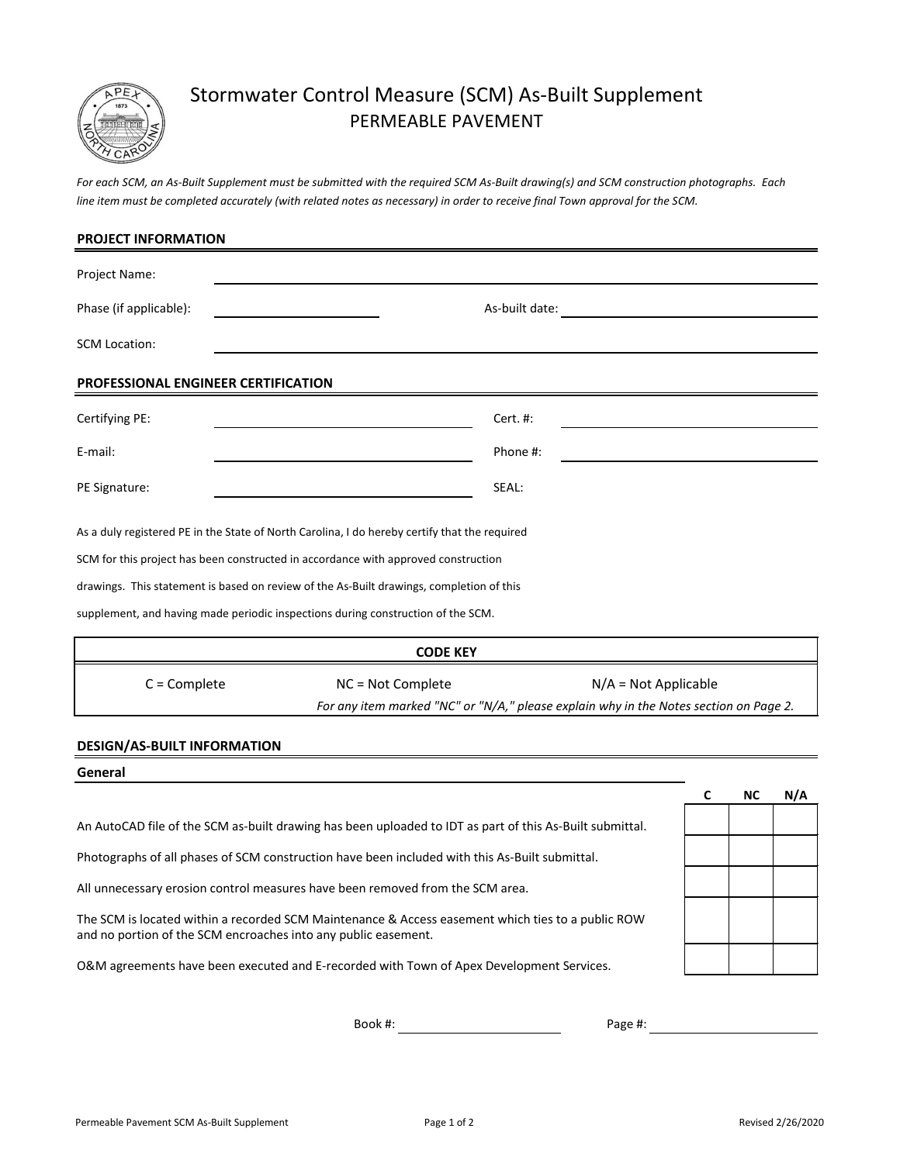

## Stormwater Control Measure (SCM) As-Built Supplement PERMEABLE PAVEMENT

*line item must be completed accurately (with related notes as necessary) in order to receive final Town approval for the SCM. For each SCM, an As-Built Supplement must be submitted with the required SCM As-Built drawing(s) and SCM construction photographs. Each*

| <b>PROJECT INFORMATION</b>                                                                    |                                             |                                                                                       |   |    |     |
|-----------------------------------------------------------------------------------------------|---------------------------------------------|---------------------------------------------------------------------------------------|---|----|-----|
| Project Name:                                                                                 |                                             |                                                                                       |   |    |     |
| Phase (if applicable):                                                                        |                                             | As-built date:                                                                        |   |    |     |
| <b>SCM Location:</b>                                                                          |                                             |                                                                                       |   |    |     |
| PROFESSIONAL ENGINEER CERTIFICATION                                                           |                                             |                                                                                       |   |    |     |
| Certifying PE:                                                                                |                                             | Cert. #:                                                                              |   |    |     |
| E-mail:                                                                                       |                                             | Phone #:                                                                              |   |    |     |
| PE Signature:                                                                                 |                                             | SEAL:                                                                                 |   |    |     |
| As a duly registered PE in the State of North Carolina, I do hereby certify that the required |                                             |                                                                                       |   |    |     |
| SCM for this project has been constructed in accordance with approved construction            |                                             |                                                                                       |   |    |     |
| drawings. This statement is based on review of the As-Built drawings, completion of this      |                                             |                                                                                       |   |    |     |
| supplement, and having made periodic inspections during construction of the SCM.              |                                             |                                                                                       |   |    |     |
|                                                                                               | <b>CODE KEY</b>                             |                                                                                       |   |    |     |
| $C =$ Complete                                                                                | NC = Not Complete<br>$N/A = Not Applicable$ |                                                                                       |   |    |     |
|                                                                                               |                                             | For any item marked "NC" or "N/A," please explain why in the Notes section on Page 2. |   |    |     |
| <b>DESIGN/AS-BUILT INFORMATION</b>                                                            |                                             |                                                                                       |   |    |     |
| General                                                                                       |                                             |                                                                                       |   |    |     |
|                                                                                               |                                             |                                                                                       | C | NC | N/A |

An AutoCAD file of the SCM as-built drawing has been uploaded to IDT as part of this As-Built submittal.

Photographs of all phases of SCM construction have been included with this As-Built submittal.

All unnecessary erosion control measures have been removed from the SCM area.

The SCM is located within a recorded SCM Maintenance & Access easement which ties to a public ROW and no portion of the SCM encroaches into any public easement.

O&M agreements have been executed and E-recorded with Town of Apex Development Services.

Book #: Page #: